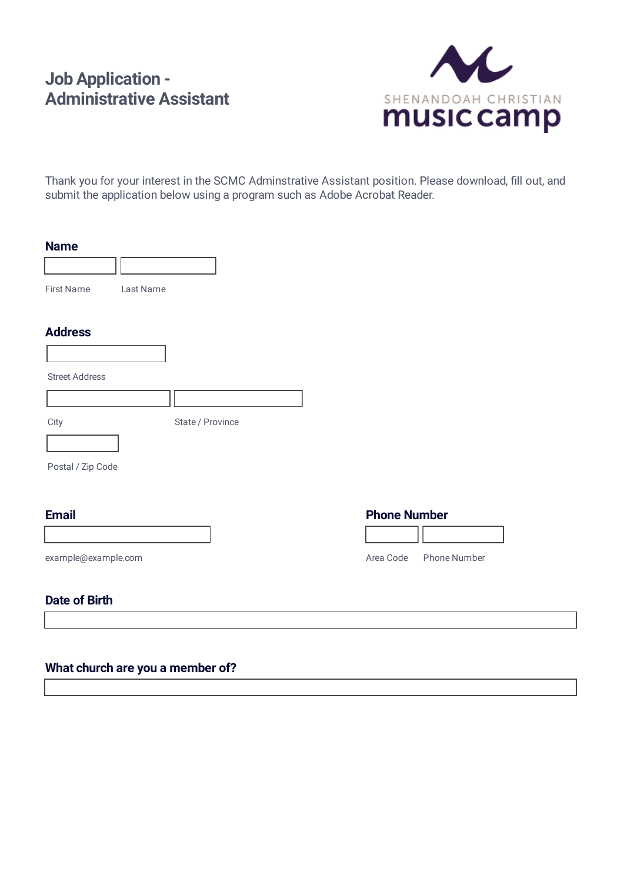# **Job Application - Administrative Assistant**



Thank you for your interest in the SCMC Adminstrative Assistant position. Please download, fill out, and submit the application below using a program such as Adobe Acrobat Reader.

#### **Name**

| <b>First Name</b> | Last Name |
|-------------------|-----------|

#### **Address**

| <b>Street Address</b> |  |
|-----------------------|--|

City State / Province

Postal / Zip Code

#### **Email**

# **Phone Number**

Area Code Phone Number

example@example.com

#### **Date of Birth**

# **What church are you a member of?**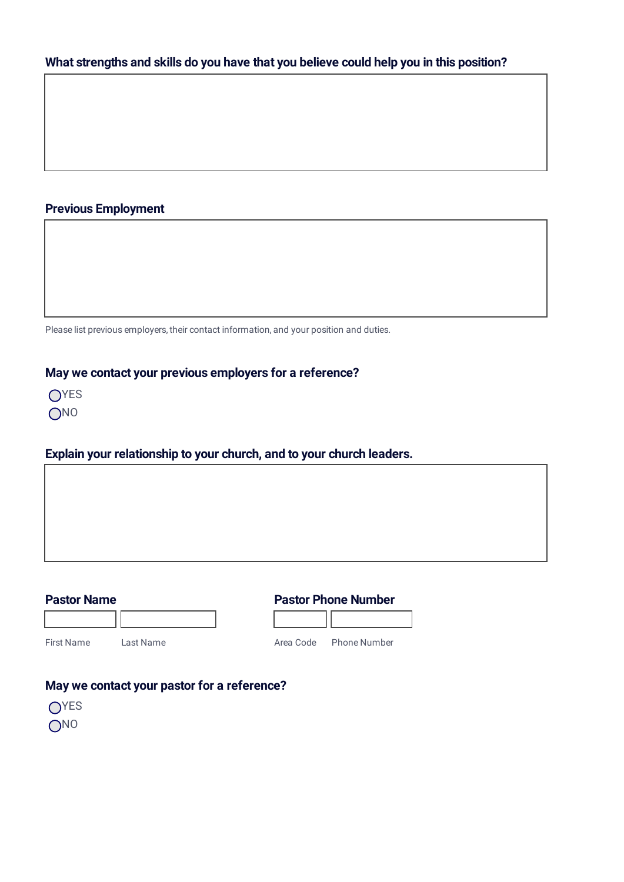# **What strengths and skills do you have that you believe could help you in this position?**

## **Previous Employment**

Please list previous employers, their contact information, and your position and duties.

## **May we contact your previous employers for a reference?**

| I | Y.<br>┍      |
|---|--------------|
| I | N<br>Π<br>-1 |

#### **Explain your relationship to your church, and to your church leaders.**

٦

| <b>Pastor Phone Number</b> |  |
|----------------------------|--|
|----------------------------|--|

| iret Nama | Lact Name |  |
|-----------|-----------|--|

First Name Last Name

٦r

Area Code Phone Number

# **May we contact your pastor for a reference?**